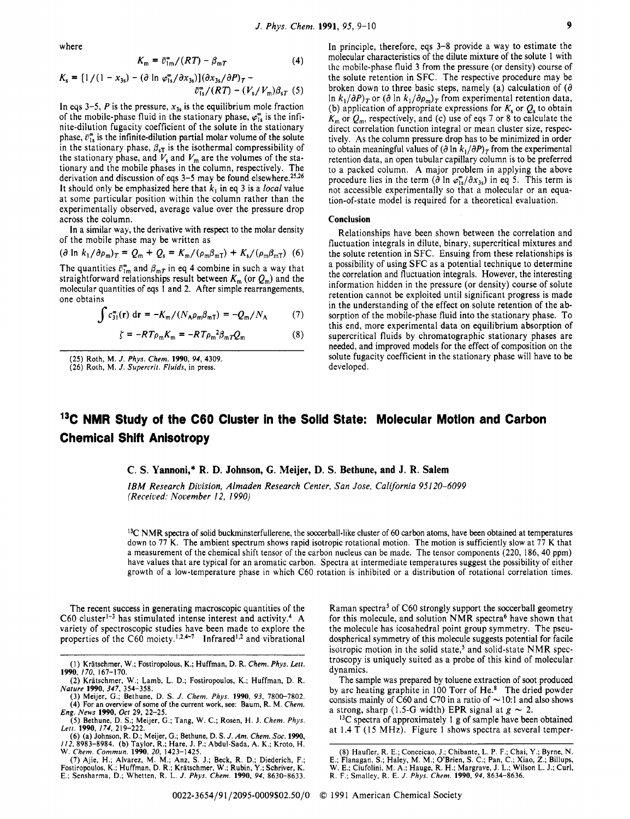where

$$
K_{\rm m} = \bar{v}_{\rm 1m}^{\infty} / (RT) - \beta_{\rm m} \tag{4}
$$

$$
K_{s} = [1/(1 - x_{3s}) - (\partial \ln \varphi_{1s}^{*}/\partial x_{3s})](\partial x_{3s}/\partial P)_{T} - \frac{\partial^{2}}{\partial_{1s}^{*}/(RT) - (V_{s}/V_{m})\beta_{sT}} (5)
$$

In eqs 3-5,  $P$  is the pressure,  $x_{3s}$  is the equilibrium mole fraction of the mobile-phase fluid in the stationary phase,  $\varphi_{1s}^{\circ}$  is the infinite-dilution fugacity coefficient of the solute in the stationary phase,  $\bar{v}_{1s}^{\infty}$  is the infinite-dilution partial molar volume of the solute in the stationary phase,  $\beta_{sT}$  is the isothermal compressibility of the stationary phase, and  $V_{\rm s}$  and  $V_{\rm m}$  are the volumes of the stationary and the mobile phases in the column, respectively. The derivation and discussion of eqs 3-5 may be found elsewhere.<sup>25,26</sup> It should only be emphasized here that  $k_1$  in eq 3 is a *local* value at some particular position within the column rather than the experimentally observed, average value over the pressure drop across the column.

In a similar way, the derivative with respect to the molar density of the mobile phase may be written as

$$
(\partial \ln k_1 / \partial \rho_m)_T = Q_m + Q_s = K_m / (\rho_m \beta_{mT}) + K_s / (\rho_m \beta_{mT})
$$
 (6)

The quantities  $\bar{v}_{1m}^*$  and  $\beta_{mT}$  in eq 4 combine in such a way that straightforward relationships result between  $K_m$  (or  $Q_m$ ) and the molecular quantities of **eqs** 1 and **2.** After simple rearrangements, one obtains

$$
\int c_{31}^{\infty}(\mathbf{r}) dr = -K_{\rm m}/(N_{\rm A}\rho_{\rm m}\beta_{\rm mT}) = -Q_{\rm m}/N_{\rm A}
$$
 (7)

$$
\zeta = -RT\rho_m K_m = -RT\rho_m^2 \beta_m T Q_m \tag{8}
$$

**(25)** Roth, **M.** *J. Phys. Chem.* **1990, 94,4309. (26)** Roth, **M.** *J. Supercrit. Nuids,* **in press.** 

In principle, therefore, eqs **3-8** provide a way to estimate the molecular characteristics of the dilute mixture of the solute 1 with thc mobile-phase fluid **3** from the pressure (or density) course of the solute retention in **SFC.** The respective procedure may be broken down to three basic steps, namely (a) calculation of  $(\partial$ In  $k_1/\partial P$ )<sub>T</sub> or  $(\partial \ln k_1/\partial \rho_m)_T$  from experimental retention data, (b) application of appropriate expressions for  $K_s$  or  $Q_s$  to obtain  $K_m$  or  $Q_m$ , respectively, and (c) use of eqs 7 or 8 to calculate the direct correlation function integral or mean cluster size, respectively. As the column pressure drop has to be minimized in order to obtain meaningful values of  $\left(\frac{\partial \ln k_1}{\partial P}\right)_T$  from the experimental retention data, an open tubular capillary column is to be preferred to a packed column. A major problem in applying the above procedure lies in the term ( $\partial \ln \varphi_{1s}^2 / \partial x_{3s}$ ) in eq 5. This term is not accessible experimentally so that a molecular or an equation-of-state model is required for a theoretical evaluation.

## **Conclusion**

Relationships have been shown between the correlation and fluctuation integrals in dilute, binary, supercritical mixtures and the solute retention in SFC. Ensuing from these relationships is a possibility of using SFC as a potential technique to determine the correlation and fluctuation integrals. However, the interesting information hidden in the pressure (or density) course of solute retention cannot be exploited until significant progress is made in the understanding of the effect on solute retention of the absorption of the mobile-phase fluid into the stationary phase. To this end, more experimental data on equilibrium absorption of supercritical fluids by chromatographic stationary phases are needed, and improved models for the effect of composition on the solute fugacity coefficient in the stationary phase will have to be developed.

## **13C NMR Study of the C60 Cluster in the Solid State: Molecular Motion and Carbon Chemical Shift Anisotropy**

## **C. S. Yannoni,\* R. D. Johnson, G. Meijer, D. S. Bethune, and J. R. Salem**

*IBM Research Division, AImaden Research Center, San Jose, California 951 20-6099 (Received: November 12, 1990)* 

**I3C N** MR spectra of solid buckminsterfullerene, the soccerball-like cluster of **60** carbon atoms, have been obtained at temperatures down to 77 K. The ambient spectrum shows rapid isotropic rotational motion. The motion is sufficiently slow at 77 K that a measurement of the chemical shift tensor of the carbon nucleus can be made. The tensor components **(220, 186,40** ppm) have values that are typical for an aromatic carbon. Spectra at intermediate temperatures suggest the possibility of either growth of a low-temperature phase in which C60 rotation is inhibited or a distribution of rotational correlation times.

The recent success in generating macroscopic quantities of the C60 cluster<sup>1-3</sup> has stimulated intense interest and activity.<sup>4</sup> A variety of spectroscopic studies have been made to explore the properties of the C60 moiety.<sup>1,2,4-7</sup> Infrared<sup>1,2</sup> and vibrational

- (I) **Kratschmer, W.; Fostiroplous, K.; Huffman, D. R.** *Chem. Phys. Lett.*  **1990. 170. 167-170.**
- (2) Krätschmer, W.; Lamb, L. D.; Fostiropoulos, K.; Huffman, D. R.<br>Nature 1990, 347, 354–358.<br>(3) Meijer, G.; Bethune, D. S. J. Chem. Phys. 1990, 93, 7800–7802.
- **(4) For an overview** of **some** of **the current work, see: Baum, R. M.** *Chem. Eng. News* **1990, Ocr 29, 22-25.**
- **(5) Bethune, D. S.; Meijer,** G.; **Tang, W. C.; Rosen, H. J.** *Chem. Phys.*

Raman spectra<sup>5</sup> of C60 strongly support the soccerball geometry for this molecule, and solution NMR spectra<sup>6</sup> have shown that the molecule has icosahedral point group symmetry. The pseudospherical symmetry of this molecule suggests potential for facile isotropic motion in the solid state,<sup>5</sup> and solid-state NMR spectroscopy is uniquely suited as a probe of this kind of molecular dynamics.

The sample was prepared by toluene extraction of soot produced by arc heating graphite in 100 Torr of He.<sup>8</sup> The dried powder by arc heating graphite in 100 Torr of He.<sup>8</sup> The dried powder consists mainly of C60 and C70 in a ratio of  $\sim$  10:1 and also shows consists mainly of C60 and C70 in a ratio of  $\sim$  10:1 and a strong, sharp (1.5-G width) EPR signal at  $g \sim 2$ .

**I3C** spectra of approximately 1 **g** of sample have been obtained at **1.4** T **(15 MHz).** Figure **1** shows spectra at several temper-

Lett. 1990, 174, 219–222.<br>(6) (a) Johnson, R. D.; Meijer, G.; Bethune, D. S. *J. Am. Chem. Soc.* 1990,<br>112, 8983–8984. (b) Taylor, R.; Hare, J. P.; Abdul-Sada, A. K.; Kroto, H.<br>W. Chem. Commun. 1990, 20, 1423–1425.

**<sup>(7)</sup> Ajie, H.; Alvarez, M. M.; Anz, S. J.; Beck, R. D.; Diederich, F.; Fostiropoulos, K.; Huffman, D.** R.; **Kratschmer, W.; Rubin. Y.; Schriver, K.**  E.; Sensharma, D.; Whetten, R. L. J. Phys. Chem. 1990, 94, 8630-8633.

<sup>(8)</sup> Haufler, R. E.; Conceicao, J.; Chibante, L. P. F.; Chai, Y.; Byrne, N. E.; Flanagan, S.; Haley, M. M.; O'Brien, S. C.; Pan, C.; Xiao, Z.; Billups, W. E.; Ciufolini, M. A.; Hauge, R. H.; Margrave, J. L.; Wilson L. J.; C